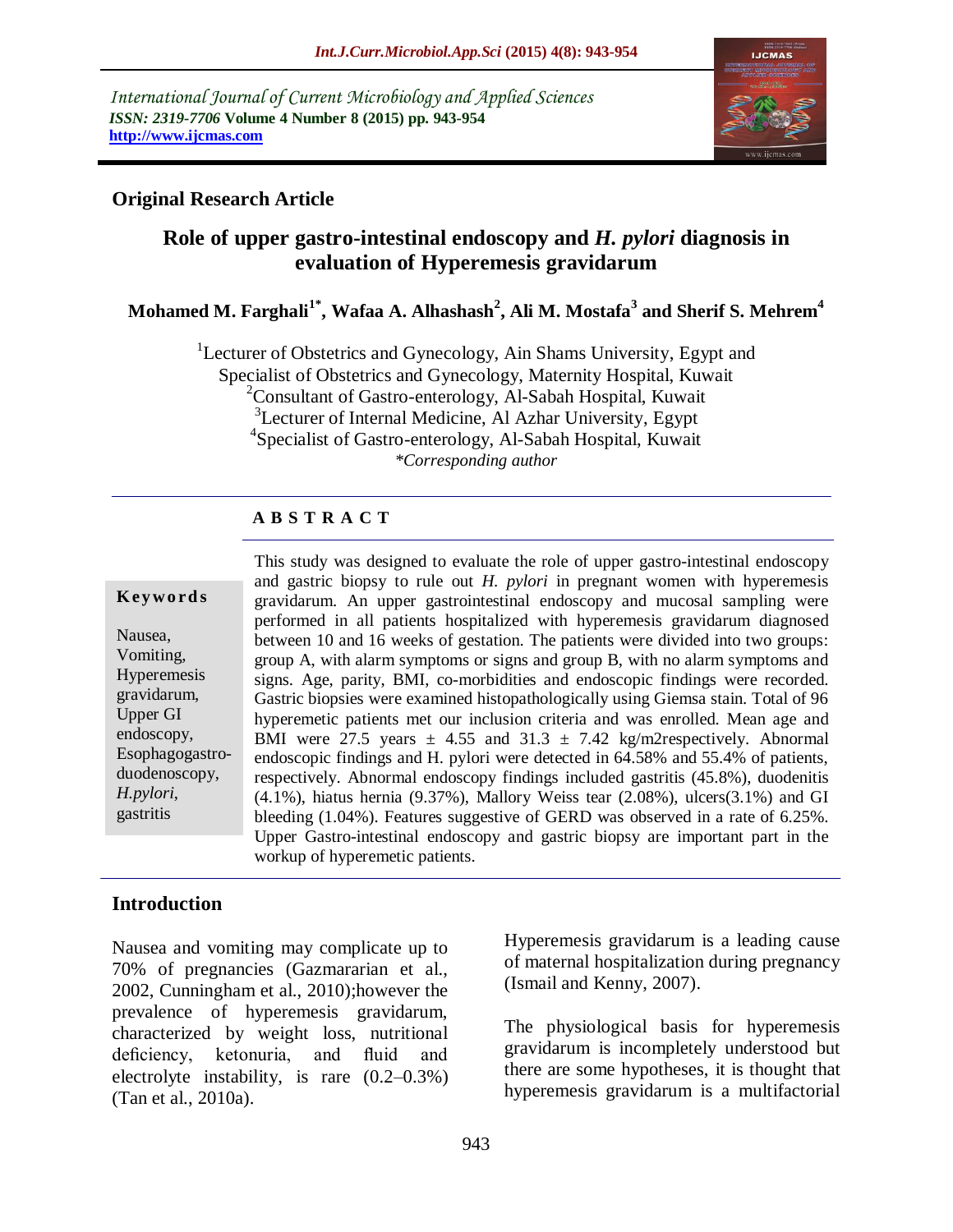*International Journal of Current Microbiology and Applied Sciences ISSN: 2319-7706* **Volume 4 Number 8 (2015) pp. 943-954 http://www.ijcmas.com** 



### **Original Research Article**

# **Role of upper gastro-intestinal endoscopy and** *H. pylori* **diagnosis in evaluation of Hyperemesis gravidarum**

### **Mohamed M. Farghali1\* , Wafaa A. Alhashash<sup>2</sup> , Ali M. Mostafa<sup>3</sup> and Sherif S. Mehrem<sup>4</sup>**

<sup>1</sup>Lecturer of Obstetrics and Gynecology, Ain Shams University, Egypt and Specialist of Obstetrics and Gynecology, Maternity Hospital, Kuwait  $2^2$ Consultant of Gastro-enterology, Al-Sabah Hospital, Kuwait <sup>3</sup>Lecturer of Internal Medicine, Al Azhar University, Egypt 4 Specialist of Gastro-enterology, Al-Sabah Hospital, Kuwait *\*Corresponding author*

### **A B S T R A C T**

#### **K ey w o rd s**

Nausea, Vomiting, Hyperemesis gravidarum, Upper GI endoscopy, Esophagogastroduodenoscopy, *H.pylori*, gastritis

This study was designed to evaluate the role of upper gastro-intestinal endoscopy and gastric biopsy to rule out *H. pylori* in pregnant women with hyperemesis gravidarum. An upper gastrointestinal endoscopy and mucosal sampling were performed in all patients hospitalized with hyperemesis gravidarum diagnosed between 10 and 16 weeks of gestation. The patients were divided into two groups: group A, with alarm symptoms or signs and group B, with no alarm symptoms and signs. Age, parity, BMI, co-morbidities and endoscopic findings were recorded. Gastric biopsies were examined histopathologically using Giemsa stain. Total of 96 hyperemetic patients met our inclusion criteria and was enrolled. Mean age and BMI were 27.5 years  $\pm$  4.55 and 31.3  $\pm$  7.42 kg/m2respectively. Abnormal endoscopic findings and H. pylori were detected in 64.58% and 55.4% of patients, respectively. Abnormal endoscopy findings included gastritis (45.8%), duodenitis (4.1%), hiatus hernia (9.37%), Mallory Weiss tear (2.08%), ulcers(3.1%) and GI bleeding (1.04%). Features suggestive of GERD was observed in a rate of 6.25%. Upper Gastro-intestinal endoscopy and gastric biopsy are important part in the workup of hyperemetic patients.

#### **Introduction**

Nausea and vomiting may complicate up to 70% of pregnancies (Gazmararian et al., 2002, Cunningham et al., 2010);however the prevalence of hyperemesis gravidarum, characterized by weight loss, nutritional deficiency, ketonuria, and fluid and electrolyte instability, is rare (0.2–0.3%) (Tan et al., 2010a).

Hyperemesis gravidarum is a leading cause of maternal hospitalization during pregnancy (Ismail and Kenny, 2007).

The physiological basis for hyperemesis gravidarum is incompletely understood but there are some hypotheses, it is thought that hyperemesis gravidarum is a multifactorial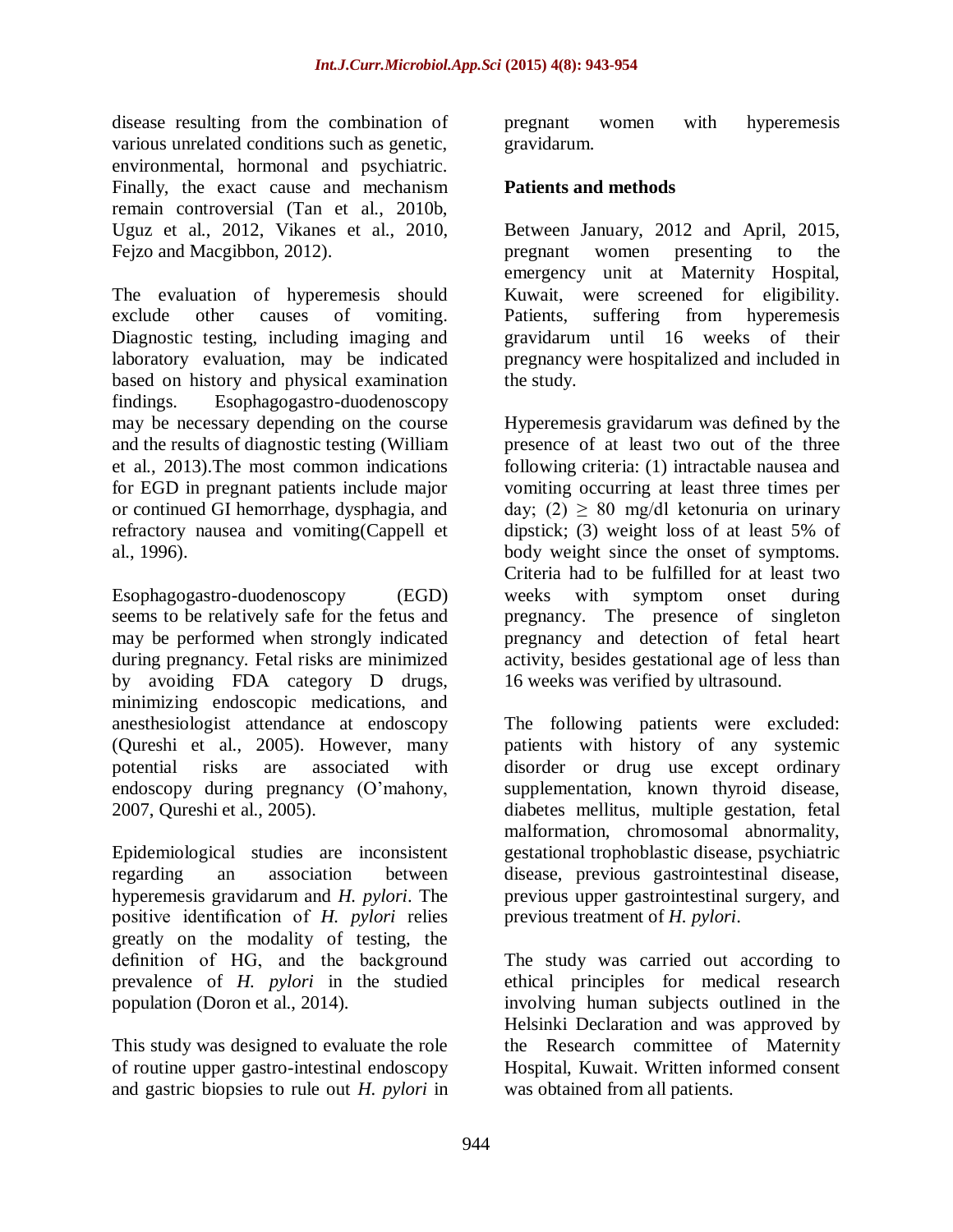disease resulting from the combination of various unrelated conditions such as genetic, environmental, hormonal and psychiatric. Finally, the exact cause and mechanism remain controversial (Tan et al., 2010b, Uguz et al., 2012, Vikanes et al., 2010, Fejzo and Macgibbon, 2012).

The evaluation of hyperemesis should exclude other causes of vomiting. Diagnostic testing, including imaging and laboratory evaluation, may be indicated based on history and physical examination findings. Esophagogastro-duodenoscopy may be necessary depending on the course and the results of diagnostic testing (William et al., 2013).The most common indications for EGD in pregnant patients include major or continued GI hemorrhage, dysphagia, and refractory nausea and vomiting(Cappell et al., 1996).

Esophagogastro-duodenoscopy (EGD) seems to be relatively safe for the fetus and may be performed when strongly indicated during pregnancy. Fetal risks are minimized by avoiding FDA category D drugs, minimizing endoscopic medications, and anesthesiologist attendance at endoscopy (Qureshi et al., 2005). However, many potential risks are associated with endoscopy during pregnancy (O'mahony, 2007, Qureshi et al., 2005).

Epidemiological studies are inconsistent regarding an association between hyperemesis gravidarum and *H. pylori*. The positive identification of *H. pylori* relies greatly on the modality of testing, the definition of HG, and the background prevalence of *H. pylori* in the studied population (Doron et al., 2014).

This study was designed to evaluate the role of routine upper gastro-intestinal endoscopy and gastric biopsies to rule out *H. pylori* in pregnant women with hyperemesis gravidarum.

### **Patients and methods**

Between January, 2012 and April, 2015, pregnant women presenting to the emergency unit at Maternity Hospital, Kuwait, were screened for eligibility. Patients, suffering from hyperemesis gravidarum until 16 weeks of their pregnancy were hospitalized and included in the study.

Hyperemesis gravidarum was defined by the presence of at least two out of the three following criteria: (1) intractable nausea and vomiting occurring at least three times per day; (2)  $\geq$  80 mg/dl ketonuria on urinary dipstick; (3) weight loss of at least 5% of body weight since the onset of symptoms. Criteria had to be fulfilled for at least two weeks with symptom onset during pregnancy. The presence of singleton pregnancy and detection of fetal heart activity, besides gestational age of less than 16 weeks was verified by ultrasound.

The following patients were excluded: patients with history of any systemic disorder or drug use except ordinary supplementation, known thyroid disease, diabetes mellitus, multiple gestation, fetal malformation, chromosomal abnormality, gestational trophoblastic disease, psychiatric disease, previous gastrointestinal disease, previous upper gastrointestinal surgery, and previous treatment of *H. pylori*.

The study was carried out according to ethical principles for medical research involving human subjects outlined in the Helsinki Declaration and was approved by the Research committee of Maternity Hospital, Kuwait. Written informed consent was obtained from all patients.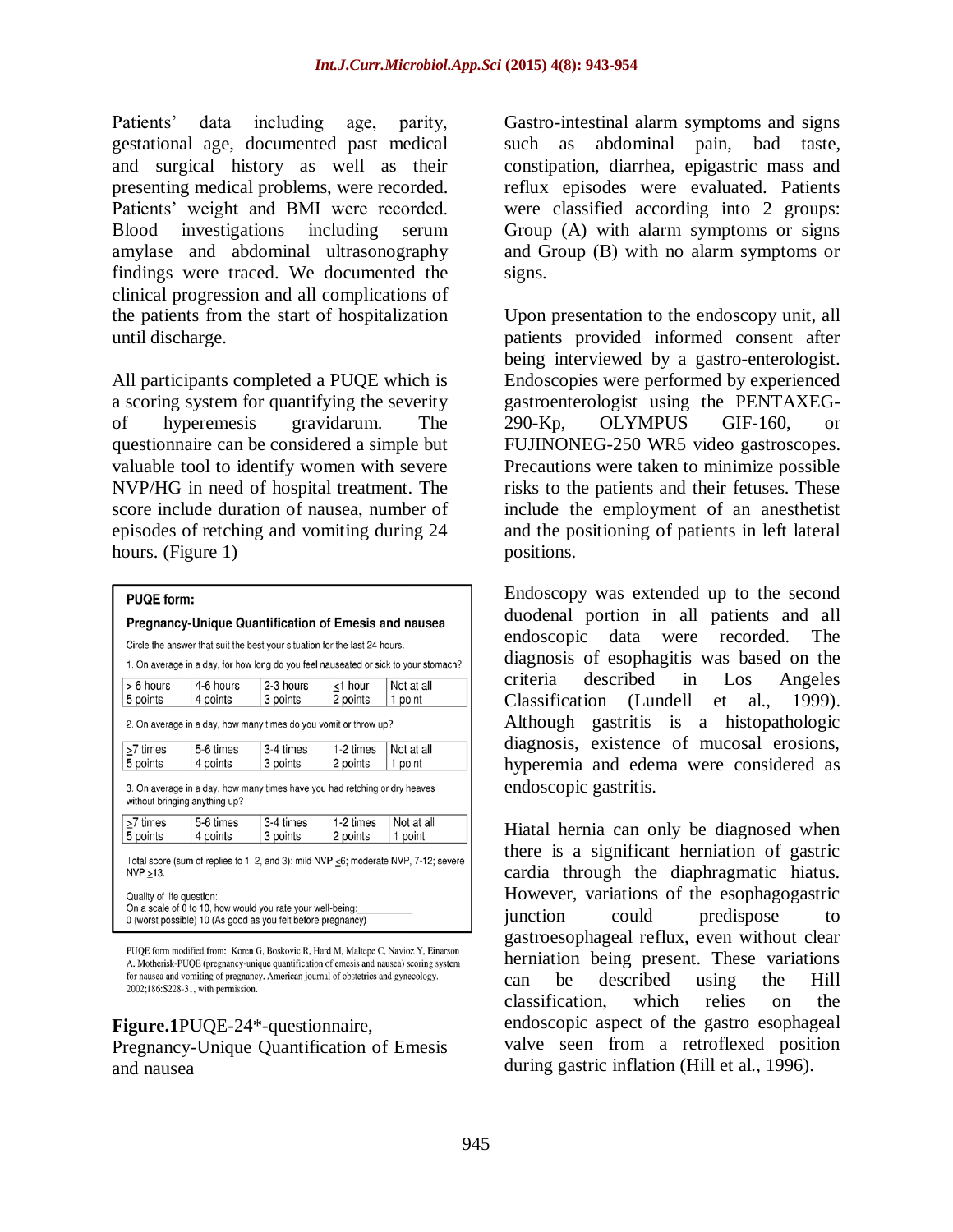Patients' data including age, parity, gestational age, documented past medical and surgical history as well as their presenting medical problems, were recorded. Patients' weight and BMI were recorded. Blood investigations including serum amylase and abdominal ultrasonography findings were traced. We documented the clinical progression and all complications of the patients from the start of hospitalization until discharge.

All participants completed a PUQE which is a scoring system for quantifying the severity of hyperemesis gravidarum. The questionnaire can be considered a simple but valuable tool to identify women with severe NVP/HG in need of hospital treatment. The score include duration of nausea, number of episodes of retching and vomiting during 24 hours. (Figure 1)

| <b>PUQE form:</b>                                                                                                                                       |                                                                            |                       |                     |                                                                                     |  |
|---------------------------------------------------------------------------------------------------------------------------------------------------------|----------------------------------------------------------------------------|-----------------------|---------------------|-------------------------------------------------------------------------------------|--|
| Pregnancy-Unique Quantification of Emesis and nausea                                                                                                    |                                                                            |                       |                     |                                                                                     |  |
|                                                                                                                                                         | Circle the answer that suit the best your situation for the last 24 hours. |                       |                     |                                                                                     |  |
|                                                                                                                                                         |                                                                            |                       |                     | 1. On average in a day, for how long do you feel nauseated or sick to your stomach? |  |
| $> 6$ hours<br>5 points                                                                                                                                 | 4-6 hours<br>4 points                                                      | 2-3 hours<br>3 points | <1 hour<br>2 points | Not at all<br>1 point                                                               |  |
|                                                                                                                                                         | 2. On average in a day, how many times do you vomit or throw up?           |                       |                     |                                                                                     |  |
| >7 times                                                                                                                                                | 5-6 times                                                                  | 3-4 times             | 1-2 times           | Not at all                                                                          |  |
| 5 points                                                                                                                                                | 4 points                                                                   | 3 points              | 2 points            | 1 point                                                                             |  |
| 3. On average in a day, how many times have you had retching or dry heaves<br>without bringing anything up?                                             |                                                                            |                       |                     |                                                                                     |  |
| >7 times                                                                                                                                                | 5-6 times                                                                  | 3-4 times             | 1-2 times           | Not at all                                                                          |  |
| 5 points                                                                                                                                                | 4 points                                                                   | 3 points              | 2 points            | 1 point                                                                             |  |
| Total score (sum of replies to 1, 2, and 3): mild NVP $\leq$ 6; moderate NVP, 7-12; severe<br>NVP >13.                                                  |                                                                            |                       |                     |                                                                                     |  |
| Quality of life question:<br>On a scale of 0 to 10, how would you rate your well-being:<br>0 (worst possible) 10 (As good as you felt before pregnancy) |                                                                            |                       |                     |                                                                                     |  |

PUQE form modified from: Koren G, Boskovic R, Hard M, Maltepe C, Navioz Y, Einarson A. Motherisk-PUQE (pregnancy-unique quantification of emesis and nausea) scoring system for nausea and vomiting of pregnancy. American journal of obstetrics and gynecology. 2002;186:S228-31, with permission.

### **Figure.1**PUQE-24\*-questionnaire,

Pregnancy-Unique Quantification of Emesis and nausea

Gastro-intestinal alarm symptoms and signs such as abdominal pain, bad taste, constipation, diarrhea, epigastric mass and reflux episodes were evaluated. Patients were classified according into 2 groups: Group (A) with alarm symptoms or signs and Group (B) with no alarm symptoms or signs.

Upon presentation to the endoscopy unit, all patients provided informed consent after being interviewed by a gastro-enterologist. Endoscopies were performed by experienced gastroenterologist using the PENTAXEG-290-Kp, OLYMPUS GIF-160, or FUJINONEG-250 WR5 video gastroscopes. Precautions were taken to minimize possible risks to the patients and their fetuses. These include the employment of an anesthetist and the positioning of patients in left lateral positions.

Endoscopy was extended up to the second duodenal portion in all patients and all endoscopic data were recorded. The diagnosis of esophagitis was based on the criteria described in Los Angeles Classification (Lundell et al., 1999). Although gastritis is a histopathologic diagnosis, existence of mucosal erosions, hyperemia and edema were considered as endoscopic gastritis.

Hiatal hernia can only be diagnosed when there is a significant herniation of gastric cardia through the diaphragmatic hiatus. However, variations of the esophagogastric junction could predispose to gastroesophageal reflux, even without clear herniation being present. These variations can be described using the Hill classification, which relies on the endoscopic aspect of the gastro esophageal valve seen from a retroflexed position during gastric inflation (Hill et al., 1996).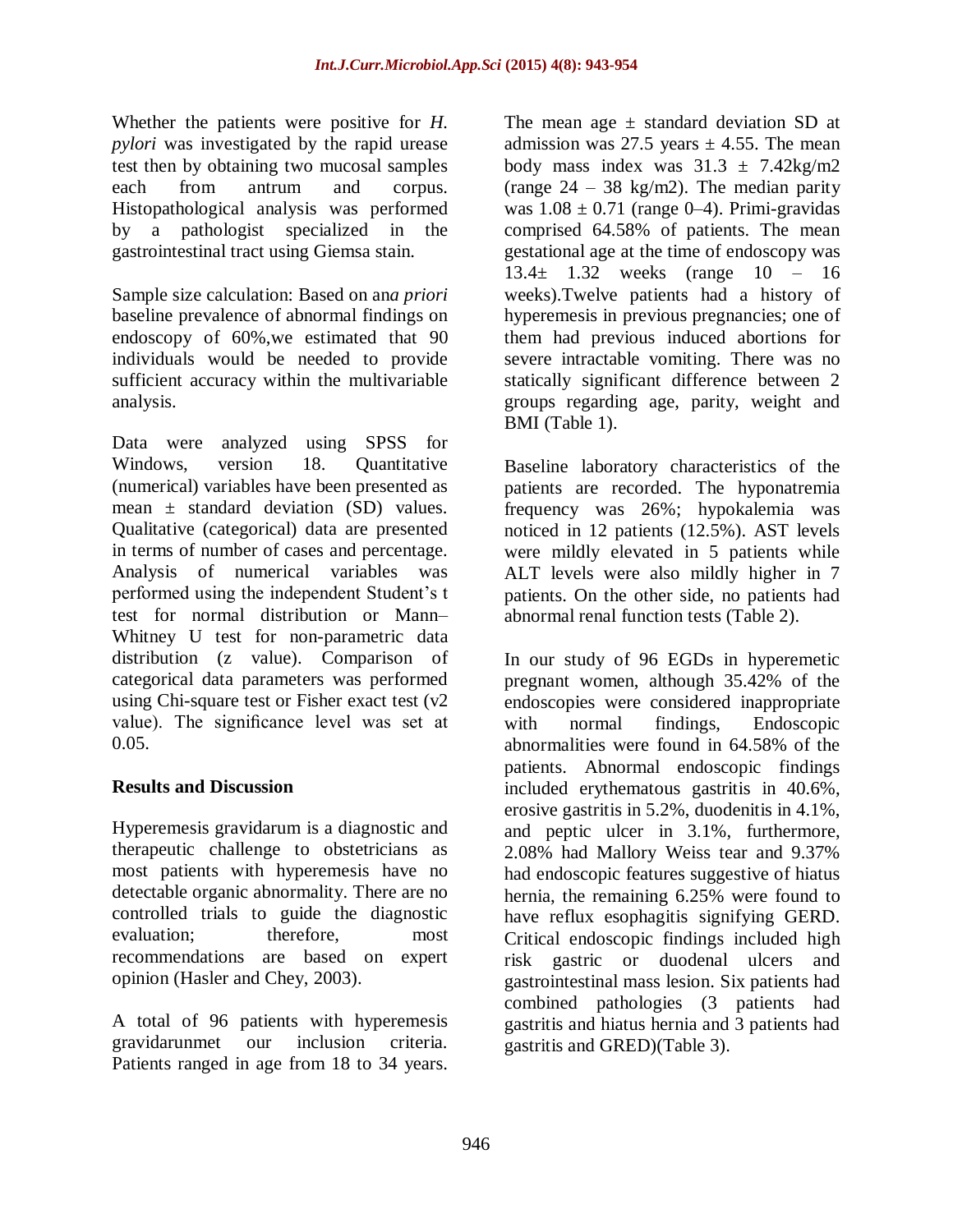Whether the patients were positive for *H. pylori* was investigated by the rapid urease test then by obtaining two mucosal samples each from antrum and corpus. Histopathological analysis was performed by a pathologist specialized in the gastrointestinal tract using Giemsa stain.

Sample size calculation: Based on an*a priori* baseline prevalence of abnormal findings on endoscopy of 60%,we estimated that 90 individuals would be needed to provide sufficient accuracy within the multivariable analysis.

Data were analyzed using SPSS for Windows, version 18. Quantitative (numerical) variables have been presented as mean  $\pm$  standard deviation (SD) values. Qualitative (categorical) data are presented in terms of number of cases and percentage. Analysis of numerical variables was performed using the independent Student's t test for normal distribution or Mann– Whitney U test for non-parametric data distribution (z value). Comparison of categorical data parameters was performed using Chi-square test or Fisher exact test (v2 value). The significance level was set at 0.05.

### **Results and Discussion**

Hyperemesis gravidarum is a diagnostic and therapeutic challenge to obstetricians as most patients with hyperemesis have no detectable organic abnormality. There are no controlled trials to guide the diagnostic evaluation; therefore, most recommendations are based on expert opinion (Hasler and Chey, 2003).

A total of 96 patients with hyperemesis gravidarunmet our inclusion criteria. Patients ranged in age from 18 to 34 years.

The mean age  $\pm$  standard deviation SD at admission was 27.5 years  $\pm$  4.55. The mean body mass index was  $31.3 \pm 7.42$ kg/m2 (range  $24 - 38$  kg/m2). The median parity was  $1.08 \pm 0.71$  (range 0–4). Primi-gravidas comprised 64.58% of patients. The mean gestational age at the time of endoscopy was 13.4± 1.32 weeks (range 10 – 16 weeks).Twelve patients had a history of hyperemesis in previous pregnancies; one of them had previous induced abortions for severe intractable vomiting. There was no statically significant difference between 2 groups regarding age, parity, weight and BMI (Table 1).

Baseline laboratory characteristics of the patients are recorded. The hyponatremia frequency was 26%; hypokalemia was noticed in 12 patients (12.5%). AST levels were mildly elevated in 5 patients while ALT levels were also mildly higher in 7 patients. On the other side, no patients had abnormal renal function tests (Table 2).

In our study of 96 EGDs in hyperemetic pregnant women, although 35.42% of the endoscopies were considered inappropriate with normal findings, Endoscopic abnormalities were found in 64.58% of the patients. Abnormal endoscopic findings included erythematous gastritis in 40.6%, erosive gastritis in 5.2%, duodenitis in 4.1%, and peptic ulcer in 3.1%, furthermore, 2.08% had Mallory Weiss tear and 9.37% had endoscopic features suggestive of hiatus hernia, the remaining 6.25% were found to have reflux esophagitis signifying GERD. Critical endoscopic findings included high risk gastric or duodenal ulcers and gastrointestinal mass lesion. Six patients had combined pathologies (3 patients had gastritis and hiatus hernia and 3 patients had gastritis and GRED)(Table 3).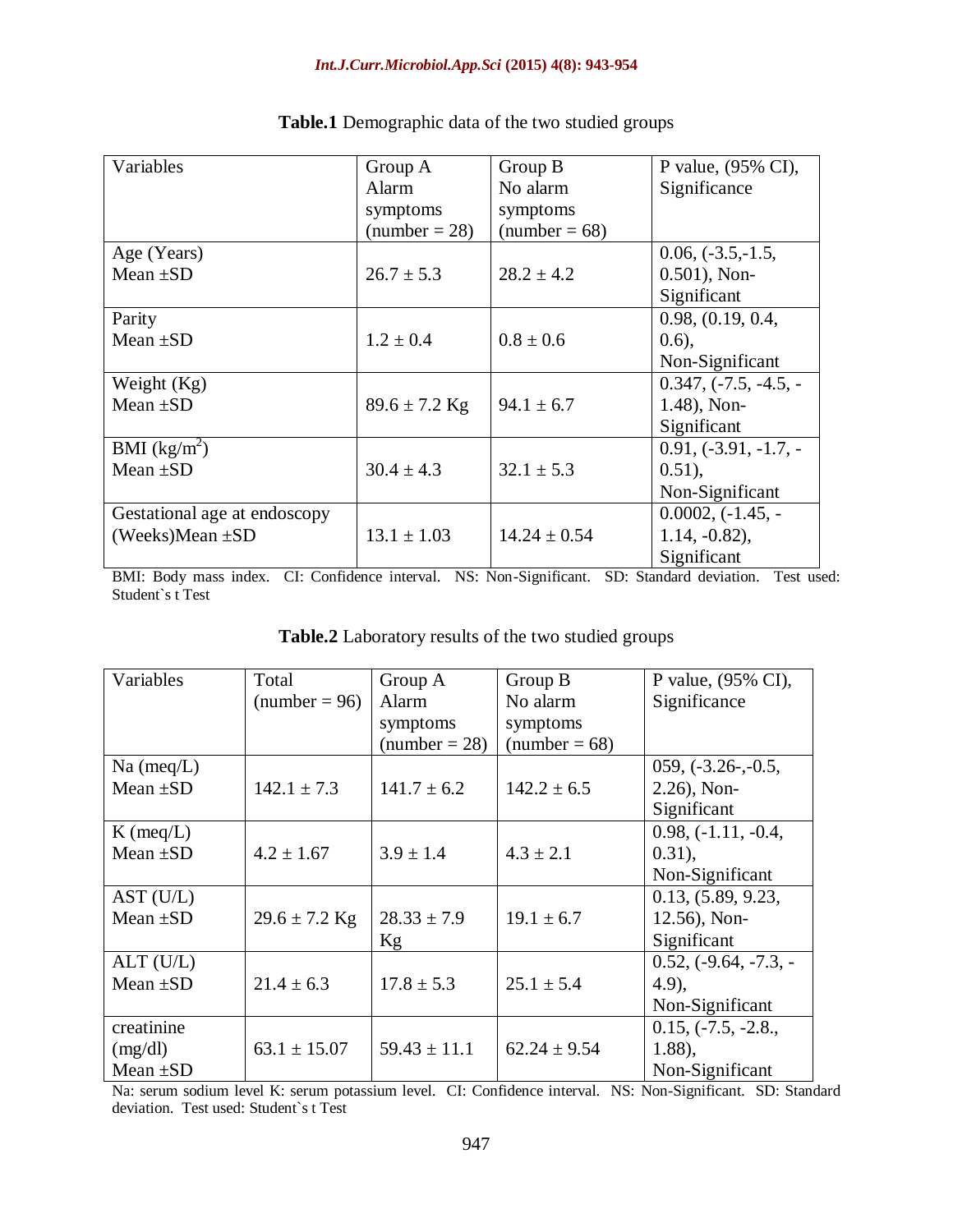| Variables                    | Group A           | Group B          | P value, (95% CI),      |
|------------------------------|-------------------|------------------|-------------------------|
|                              | Alarm             | No alarm         | Significance            |
|                              | symptoms          | symptoms         |                         |
|                              | $number = 28$     | $(number = 68)$  |                         |
| Age (Years)                  |                   |                  | $0.06, (-3.5, -1.5,$    |
| Mean $\pm SD$                | $26.7 \pm 5.3$    | $28.2 \pm 4.2$   | $0.501$ ), Non-         |
|                              |                   |                  | Significant             |
| Parity                       |                   |                  | 0.98, (0.19, 0.4,       |
| Mean $\pm SD$                | $1.2 \pm 0.4$     | $0.8 \pm 0.6$    | (0.6),                  |
|                              |                   |                  | Non-Significant         |
| Weight $(Kg)$                |                   |                  | $0.347, (-7.5, -4.5, -$ |
| Mean $\pm SD$                | $89.6 \pm 7.2$ Kg | $94.1 \pm 6.7$   | $1.48$ ), Non-          |
|                              |                   |                  | Significant             |
| BMI $(kg/m^2)$               |                   |                  | $0.91, (-3.91, -1.7, -$ |
| Mean $\pm SD$                | $30.4 \pm 4.3$    | $32.1 \pm 5.3$   | $0.51$ ),               |
|                              |                   |                  | Non-Significant         |
| Gestational age at endoscopy |                   |                  | $0.0002, (-1.45, -$     |
| (Weeks)Mean $\pm SD$         | $13.1 \pm 1.03$   | $14.24 \pm 0.54$ | $1.14, -0.82$ ),        |
|                              |                   |                  | Significant             |

| Table.1 Demographic data of the two studied groups |  |  |  |  |
|----------------------------------------------------|--|--|--|--|
|----------------------------------------------------|--|--|--|--|

BMI: Body mass index. CI: Confidence interval. NS: Non-Significant. SD: Standard deviation. Test used: Student`s t Test

| Table.2 Laboratory results of the two studied groups |  |
|------------------------------------------------------|--|
|------------------------------------------------------|--|

| Variables     | Total             | Group A          | Group B          | P value, (95% CI),      |
|---------------|-------------------|------------------|------------------|-------------------------|
|               | $(number = 96)$   | Alarm            | No alarm         | Significance            |
|               |                   | symptoms         | symptoms         |                         |
|               |                   | $(number = 28)$  | $(number = 68)$  |                         |
| $Na$ (meq/L)  |                   |                  |                  | $059, (-3.26-, -0.5,$   |
| Mean $\pm SD$ | $142.1 \pm 7.3$   | $141.7 \pm 6.2$  | $142.2 \pm 6.5$  | $2.26$ ), Non-          |
|               |                   |                  |                  | Significant             |
| $K$ (meq/L)   |                   |                  |                  | $0.98, (-1.11, -0.4,$   |
| Mean $\pm SD$ | $4.2 \pm 1.67$    | $3.9 \pm 1.4$    | $4.3 \pm 2.1$    | $0.31$ ),               |
|               |                   |                  |                  | Non-Significant         |
| AST (U/L)     |                   |                  |                  | 0.13, (5.89, 9.23,      |
| Mean $\pm SD$ | $29.6 \pm 7.2$ Kg | $28.33 \pm 7.9$  | $19.1 \pm 6.7$   | $12.56$ ), Non-         |
|               |                   | Kg               |                  | Significant             |
| $ALT$ (U/L)   |                   |                  |                  | $0.52, (-9.64, -7.3, -$ |
| Mean $\pm SD$ | $21.4 \pm 6.3$    | $17.8 \pm 5.3$   | $25.1 \pm 5.4$   | $(4.9)$ ,               |
|               |                   |                  |                  | Non-Significant         |
| creatinine    |                   |                  |                  | $0.15, (-7.5, -2.8,$    |
| (mg/dl)       | $63.1 \pm 15.07$  | $59.43 \pm 11.1$ | $62.24 \pm 9.54$ | 1.88,                   |
| Mean $\pm SD$ |                   |                  |                  | Non-Significant         |

Na: serum sodium level K: serum potassium level. CI: Confidence interval. NS: Non-Significant. SD: Standard deviation. Test used: Student`s t Test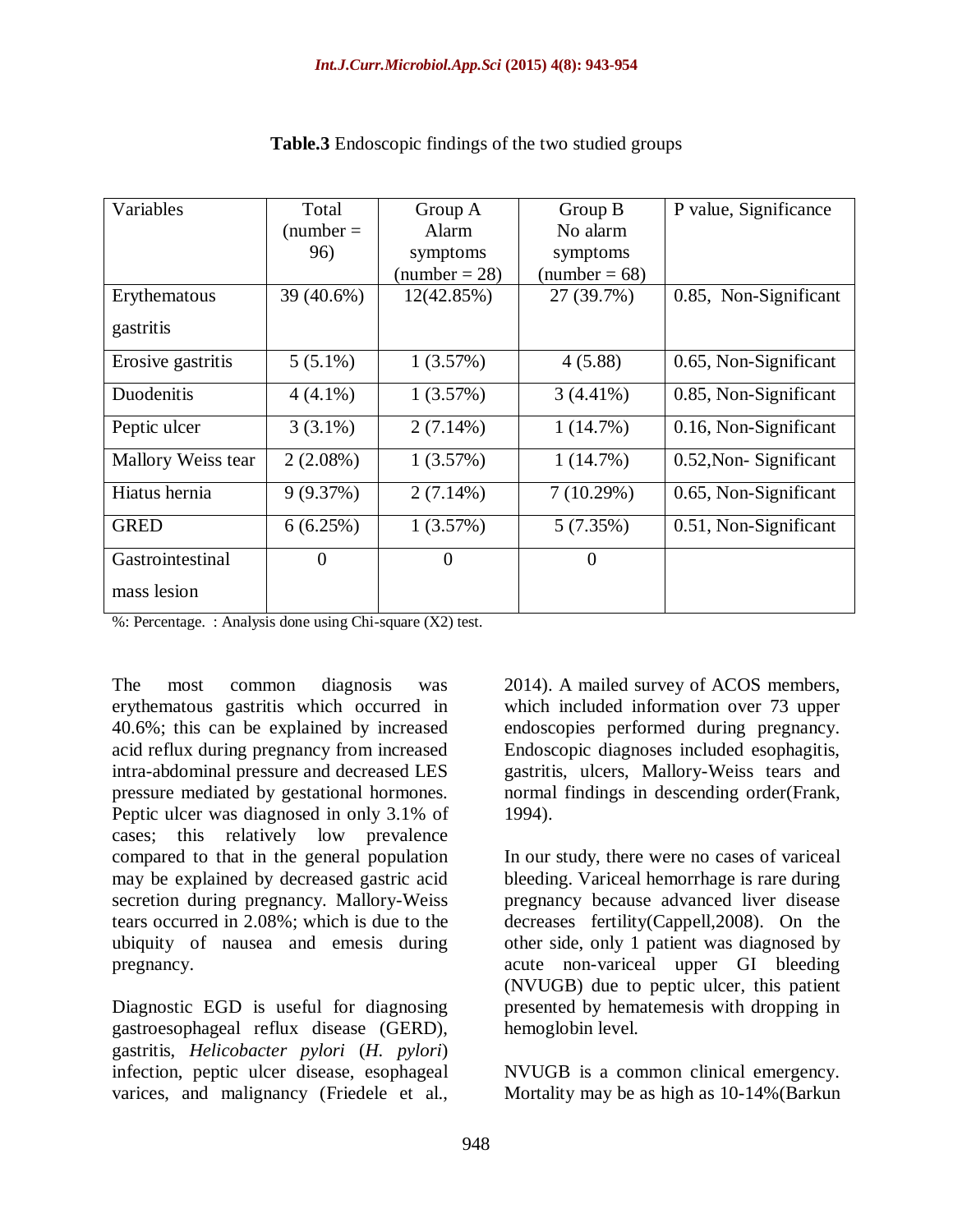| Variables          | Total          | Group A         | Group B         | P value, Significance |
|--------------------|----------------|-----------------|-----------------|-----------------------|
|                    | $(number =$    | Alarm           | No alarm        |                       |
|                    | 96)            | symptoms        | symptoms        |                       |
|                    |                | $(number = 28)$ | $(number = 68)$ |                       |
| Erythematous       | 39 (40.6%)     | 12(42.85%)      | 27 (39.7%)      | 0.85, Non-Significant |
| gastritis          |                |                 |                 |                       |
| Erosive gastritis  | $5(5.1\%)$     | 1(3.57%)        | 4(5.88)         | 0.65, Non-Significant |
| Duodenitis         | $4(4.1\%)$     | 1(3.57%)        | $3(4.41\%)$     | 0.85, Non-Significant |
| Peptic ulcer       | $3(3.1\%)$     | $2(7.14\%)$     | 1(14.7%)        | 0.16, Non-Significant |
| Mallory Weiss tear | $2(2.08\%)$    | 1(3.57%)        | 1(14.7%)        | 0.52, Non-Significant |
| Hiatus hernia      | 9(9.37%)       | $2(7.14\%)$     | 7(10.29%)       | 0.65, Non-Significant |
| <b>GRED</b>        | 6(6.25%)       | 1(3.57%)        | 5(7.35%)        | 0.51, Non-Significant |
| Gastrointestinal   | $\overline{0}$ | $\overline{0}$  | $\overline{0}$  |                       |
| mass lesion        |                |                 |                 |                       |

#### **Table.3** Endoscopic findings of the two studied groups

%: Percentage. : Analysis done using Chi-square (X2) test.

The most common diagnosis was erythematous gastritis which occurred in 40.6%; this can be explained by increased acid reflux during pregnancy from increased intra-abdominal pressure and decreased LES pressure mediated by gestational hormones. Peptic ulcer was diagnosed in only 3.1% of cases; this relatively low prevalence compared to that in the general population may be explained by decreased gastric acid secretion during pregnancy. Mallory-Weiss tears occurred in 2.08%; which is due to the ubiquity of nausea and emesis during pregnancy.

Diagnostic EGD is useful for diagnosing gastroesophageal reflux disease (GERD), gastritis, *Helicobacter pylori* (*H. pylori*) infection, peptic ulcer disease, esophageal varices, and malignancy (Friedele et al.,

2014). A mailed survey of ACOS members, which included information over 73 upper endoscopies performed during pregnancy. Endoscopic diagnoses included esophagitis, gastritis, ulcers, Mallory-Weiss tears and normal findings in descending order(Frank, 1994).

In our study, there were no cases of variceal bleeding. Variceal hemorrhage is rare during pregnancy because advanced liver disease decreases fertility(Cappell,2008). On the other side, only 1 patient was diagnosed by acute non-variceal upper GI bleeding (NVUGB) due to peptic ulcer, this patient presented by hematemesis with dropping in hemoglobin level.

NVUGB is a common clinical emergency. Mortality may be as high as 10-14%(Barkun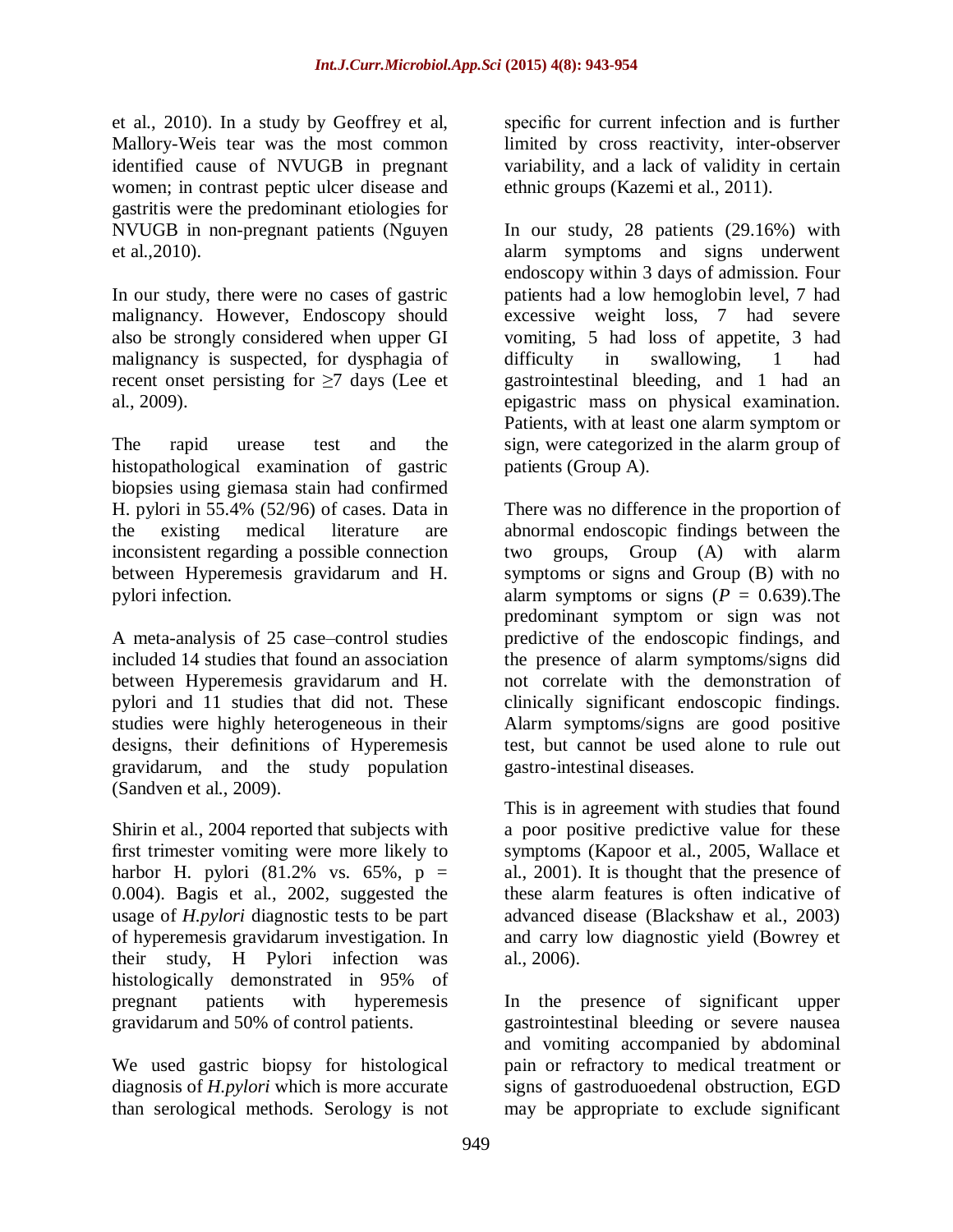et al., 2010). In a study by Geoffrey et al, Mallory-Weis tear was the most common identified cause of NVUGB in pregnant women; in contrast peptic ulcer disease and gastritis were the predominant etiologies for NVUGB in non-pregnant patients (Nguyen et al.,2010).

In our study, there were no cases of gastric malignancy. However, Endoscopy should also be strongly considered when upper GI malignancy is suspected, for dysphagia of recent onset persisting for  $\geq$ 7 days (Lee et al., 2009).

The rapid urease test and the histopathological examination of gastric biopsies using giemasa stain had confirmed H. pylori in 55.4% (52/96) of cases. Data in the existing medical literature are inconsistent regarding a possible connection between Hyperemesis gravidarum and H. pylori infection.

A meta-analysis of 25 case–control studies included 14 studies that found an association between Hyperemesis gravidarum and H. pylori and 11 studies that did not. These studies were highly heterogeneous in their designs, their definitions of Hyperemesis gravidarum, and the study population (Sandven et al., 2009).

Shirin et al., 2004 reported that subjects with first trimester vomiting were more likely to harbor H. pylori (81.2% vs. 65%,  $p =$ 0.004). Bagis et al., 2002, suggested the usage of *H.pylori* diagnostic tests to be part of hyperemesis gravidarum investigation. In their study, H Pylori infection was histologically demonstrated in 95% of pregnant patients with hyperemesis gravidarum and 50% of control patients.

We used gastric biopsy for histological diagnosis of *H.pylori* which is more accurate than serological methods. Serology is not specific for current infection and is further limited by cross reactivity, inter-observer variability, and a lack of validity in certain ethnic groups (Kazemi et al., 2011).

In our study, 28 patients (29.16%) with alarm symptoms and signs underwent endoscopy within 3 days of admission. Four patients had a low hemoglobin level, 7 had excessive weight loss, 7 had severe vomiting, 5 had loss of appetite, 3 had difficulty in swallowing, 1 had gastrointestinal bleeding, and 1 had an epigastric mass on physical examination. Patients, with at least one alarm symptom or sign, were categorized in the alarm group of patients (Group A).

There was no difference in the proportion of abnormal endoscopic findings between the two groups, Group (A) with alarm symptoms or signs and Group (B) with no alarm symptoms or signs  $(P = 0.639)$ . The predominant symptom or sign was not predictive of the endoscopic findings, and the presence of alarm symptoms/signs did not correlate with the demonstration of clinically significant endoscopic findings. Alarm symptoms/signs are good positive test, but cannot be used alone to rule out gastro-intestinal diseases.

This is in agreement with studies that found a poor positive predictive value for these symptoms (Kapoor et al., 2005, Wallace et al., 2001). It is thought that the presence of these alarm features is often indicative of advanced disease (Blackshaw et al., 2003) and carry low diagnostic yield (Bowrey et al., 2006).

In the presence of significant upper gastrointestinal bleeding or severe nausea and vomiting accompanied by abdominal pain or refractory to medical treatment or signs of gastroduoedenal obstruction, EGD may be appropriate to exclude significant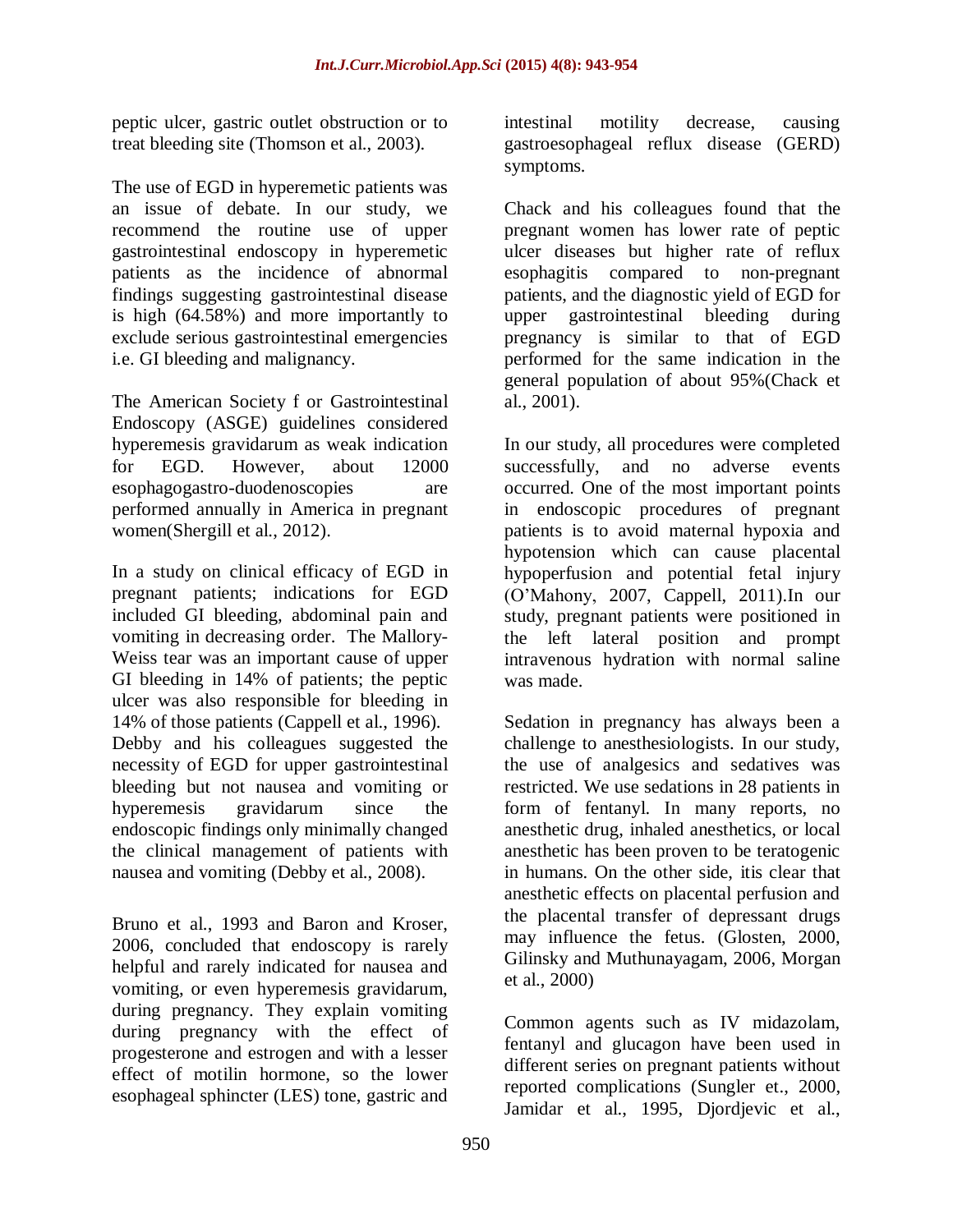peptic ulcer, gastric outlet obstruction or to treat bleeding site (Thomson et al., 2003).

The use of EGD in hyperemetic patients was an issue of debate. In our study, we recommend the routine use of upper gastrointestinal endoscopy in hyperemetic patients as the incidence of abnormal findings suggesting gastrointestinal disease is high (64.58%) and more importantly to exclude serious gastrointestinal emergencies i.e. GI bleeding and malignancy.

The American Society f or Gastrointestinal Endoscopy (ASGE) guidelines considered hyperemesis gravidarum as weak indication for EGD. However, about 12000 esophagogastro-duodenoscopies are performed annually in America in pregnant women(Shergill et al., 2012).

In a study on clinical efficacy of EGD in pregnant patients; indications for EGD included GI bleeding, abdominal pain and vomiting in decreasing order. The Mallory-Weiss tear was an important cause of upper GI bleeding in 14% of patients; the peptic ulcer was also responsible for bleeding in 14% of those patients (Cappell et al., 1996). Debby and his colleagues suggested the necessity of EGD for upper gastrointestinal bleeding but not nausea and vomiting or hyperemesis gravidarum since the endoscopic findings only minimally changed the clinical management of patients with nausea and vomiting (Debby et al., 2008).

Bruno et al., 1993 and Baron and Kroser, 2006, concluded that endoscopy is rarely helpful and rarely indicated for nausea and vomiting, or even hyperemesis gravidarum, during pregnancy. They explain vomiting during pregnancy with the effect of progesterone and estrogen and with a lesser effect of motilin hormone, so the lower esophageal sphincter (LES) tone, gastric and

intestinal motility decrease, causing gastroesophageal reflux disease (GERD) symptoms.

Chack and his colleagues found that the pregnant women has lower rate of peptic ulcer diseases but higher rate of reflux esophagitis compared to non-pregnant patients, and the diagnostic yield of EGD for upper gastrointestinal bleeding during pregnancy is similar to that of EGD performed for the same indication in the general population of about 95%(Chack et al., 2001).

In our study, all procedures were completed successfully, and no adverse events occurred. One of the most important points in endoscopic procedures of pregnant patients is to avoid maternal hypoxia and hypotension which can cause placental hypoperfusion and potential fetal injury (O'Mahony, 2007, Cappell, 2011).In our study, pregnant patients were positioned in the left lateral position and prompt intravenous hydration with normal saline was made.

Sedation in pregnancy has always been a challenge to anesthesiologists. In our study, the use of analgesics and sedatives was restricted. We use sedations in 28 patients in form of fentanyl. In many reports, no anesthetic drug, inhaled anesthetics, or local anesthetic has been proven to be teratogenic in humans. On the other side, itis clear that anesthetic effects on placental perfusion and the placental transfer of depressant drugs may influence the fetus. (Glosten, 2000, Gilinsky and Muthunayagam, 2006, Morgan et al., 2000)

Common agents such as IV midazolam, fentanyl and glucagon have been used in different series on pregnant patients without reported complications (Sungler et., 2000, Jamidar et al., 1995, Djordjevic et al.,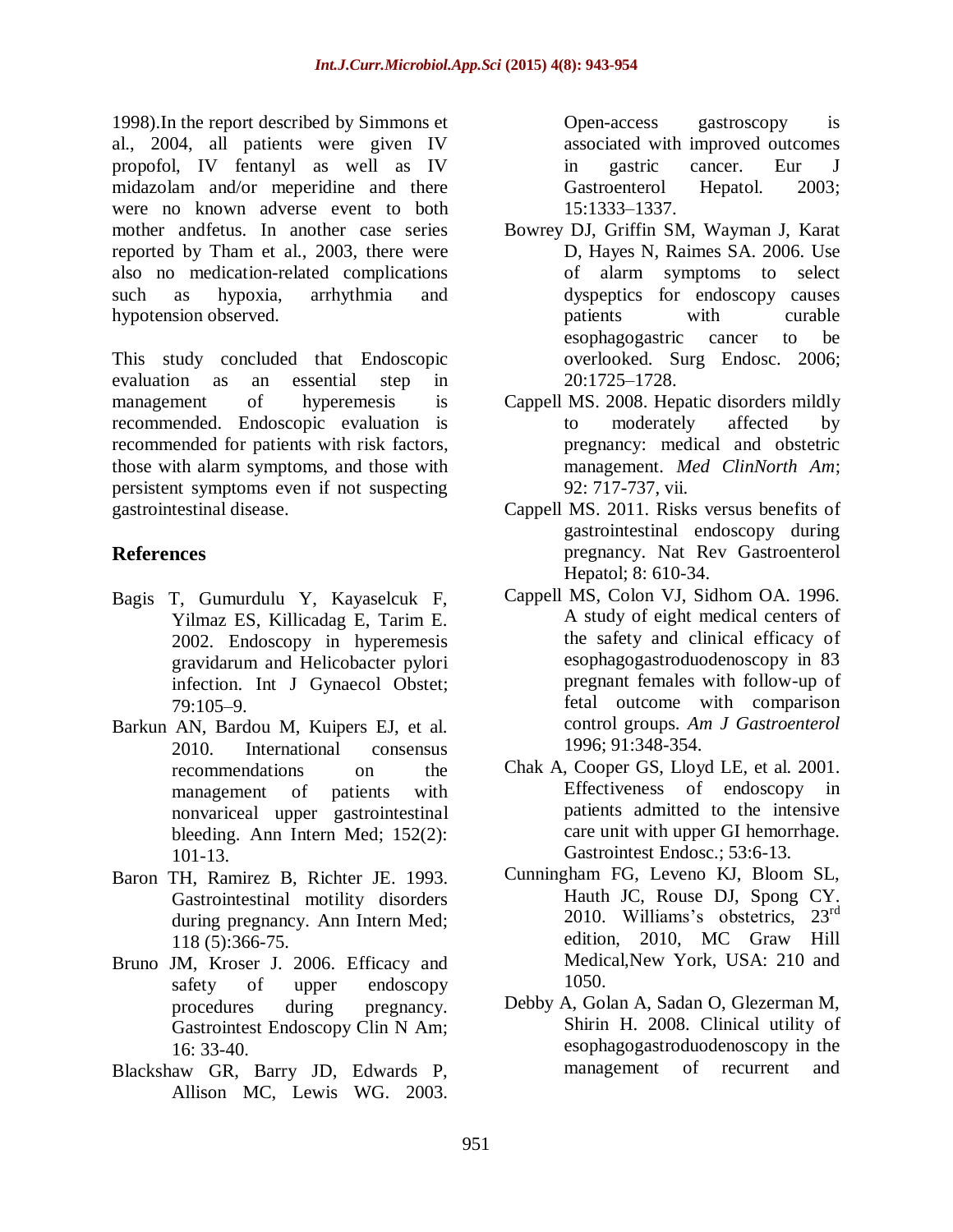1998).In the report described by Simmons et al., 2004, all patients were given IV propofol, IV fentanyl as well as IV midazolam and/or meperidine and there were no known adverse event to both mother andfetus. In another case series reported by Tham et al., 2003, there were also no medication-related complications such as hypoxia, arrhythmia and hypotension observed.

This study concluded that Endoscopic evaluation as an essential step in management of hyperemesis is recommended. Endoscopic evaluation is recommended for patients with risk factors, those with alarm symptoms, and those with persistent symptoms even if not suspecting gastrointestinal disease.

# **References**

- Bagis T, Gumurdulu Y, Kayaselcuk F, Yilmaz ES, Killicadag E, Tarim E. 2002. Endoscopy in hyperemesis gravidarum and Helicobacter pylori infection. Int J Gynaecol Obstet; 79:105–9.
- Barkun AN, Bardou M, Kuipers EJ, et al. 2010. International consensus recommendations on the management of patients with nonvariceal upper gastrointestinal bleeding. Ann Intern Med; 152(2): 101-13.
- Baron TH, Ramirez B, Richter JE. 1993. Gastrointestinal motility disorders during pregnancy. Ann Intern Med; 118 (5):366-75.
- Bruno JM, Kroser J. 2006. Efficacy and safety of upper endoscopy procedures during pregnancy. Gastrointest Endoscopy Clin N Am; 16: 33-40.
- Blackshaw GR, Barry JD, Edwards P, Allison MC, Lewis WG. 2003.

Open-access gastroscopy is associated with improved outcomes in gastric cancer. Eur J Gastroenterol Hepatol. 2003; 15:1333–1337.

- Bowrey DJ, Griffin SM, Wayman J, Karat D, Hayes N, Raimes SA. 2006. Use of alarm symptoms to select dyspeptics for endoscopy causes patients with curable esophagogastric cancer to be overlooked. Surg Endosc. 2006; 20:1725–1728.
- Cappell MS. 2008. Hepatic disorders mildly to moderately affected by pregnancy: medical and obstetric management. *Med ClinNorth Am*; 92: 717-737, vii.
- Cappell MS. 2011. Risks versus benefits of gastrointestinal endoscopy during pregnancy. Nat Rev Gastroenterol Hepatol; 8: 610-34.
- Cappell MS, Colon VJ, Sidhom OA. 1996. A study of eight medical centers of the safety and clinical efficacy of esophagogastroduodenoscopy in 83 pregnant females with follow-up of fetal outcome with comparison control groups. *Am J Gastroenterol* 1996; 91:348-354.
- Chak A, Cooper GS, Lloyd LE, et al. 2001. Effectiveness of endoscopy in patients admitted to the intensive care unit with upper GI hemorrhage. Gastrointest Endosc.; 53:6-13.
- Cunningham FG, Leveno KJ, Bloom SL, Hauth JC, Rouse DJ, Spong CY. 2010. Williams's obstetrics.  $23<sup>rd</sup>$ edition, 2010, MC Graw Hill Medical,New York, USA: 210 and 1050.
- Debby A, Golan A, Sadan O, Glezerman M, Shirin H. 2008. Clinical utility of esophagogastroduodenoscopy in the management of recurrent and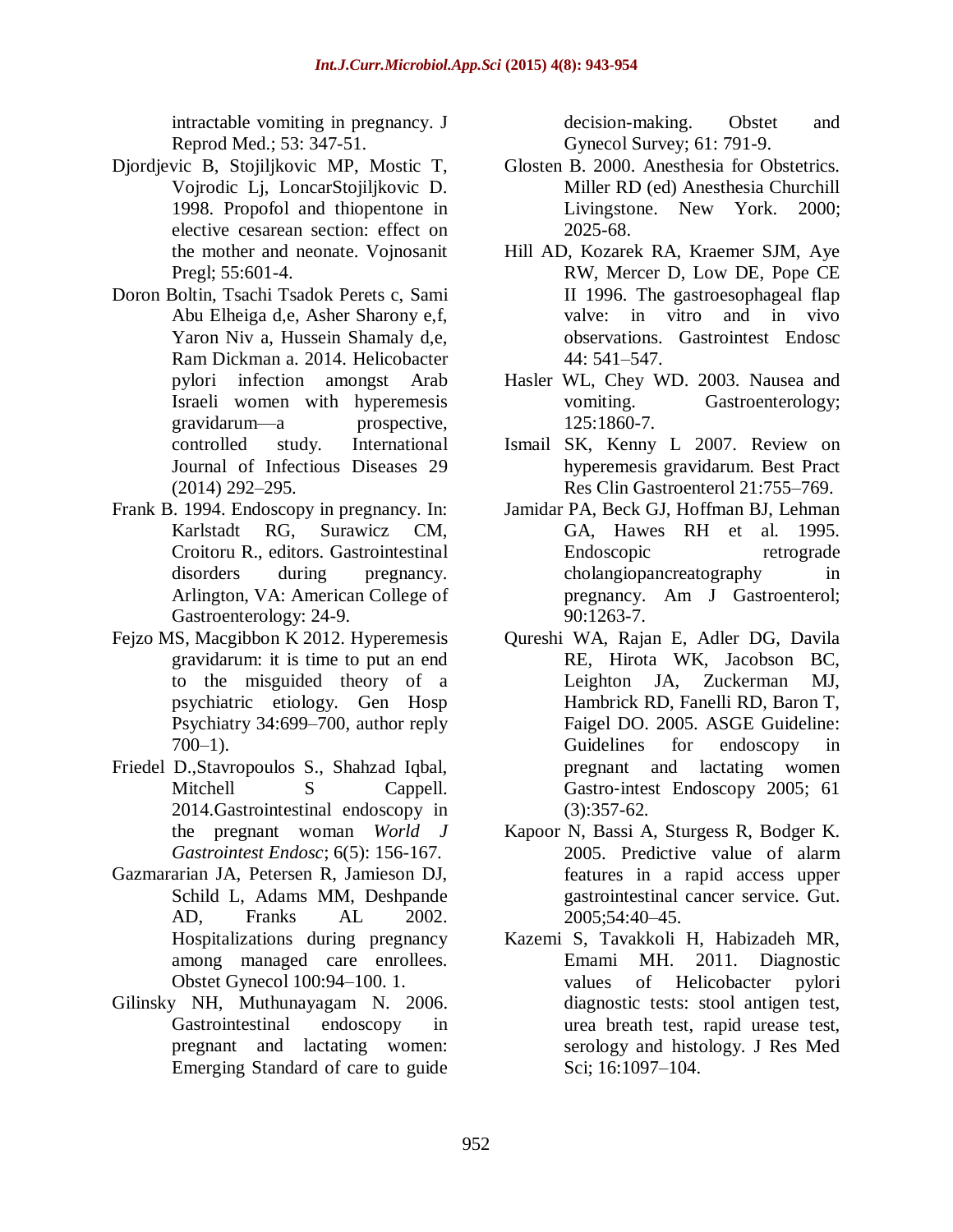intractable vomiting in pregnancy. J Reprod Med.; 53: 347-51.

- Djordjevic B, Stojiljkovic MP, Mostic T, Vojrodic Lj, LoncarStojiljkovic D. 1998. Propofol and thiopentone in elective cesarean section: effect on the mother and neonate. Vojnosanit Pregl; 55:601-4.
- Doron Boltin, Tsachi Tsadok Perets c, Sami Abu Elheiga d,e, Asher Sharony e,f, Yaron Niv a, Hussein Shamaly d,e, Ram Dickman a. 2014. Helicobacter pylori infection amongst Arab Israeli women with hyperemesis gravidarum—a prospective, controlled study. International Journal of Infectious Diseases 29 (2014) 292–295.
- Frank B. 1994. Endoscopy in pregnancy. In: Karlstadt RG, Surawicz CM, Croitoru R., editors. Gastrointestinal disorders during pregnancy. Arlington, VA: American College of Gastroenterology: 24-9.
- Fejzo MS, Macgibbon K 2012. Hyperemesis gravidarum: it is time to put an end to the misguided theory of a psychiatric etiology. Gen Hosp Psychiatry 34:699–700, author reply  $700-1$ ).
- Friedel D.,Stavropoulos S., Shahzad Iqbal, Mitchell S Cappell. 2014.Gastrointestinal endoscopy in the pregnant woman *World J Gastrointest Endosc*; 6(5): 156-167.
- Gazmararian JA, Petersen R, Jamieson DJ, Schild L, Adams MM, Deshpande AD, Franks AL 2002. Hospitalizations during pregnancy among managed care enrollees. Obstet Gynecol 100:94–100. 1.
- Gilinsky NH, Muthunayagam N. 2006. Gastrointestinal endoscopy in pregnant and lactating women: Emerging Standard of care to guide

decision-making. Obstet and Gynecol Survey; 61: 791-9.

- Glosten B. 2000. Anesthesia for Obstetrics. Miller RD (ed) Anesthesia Churchill Livingstone. New York. 2000; 2025-68.
- Hill AD, Kozarek RA, Kraemer SJM, Aye RW, Mercer D, Low DE, Pope CE II 1996. The gastroesophageal flap valve: in vitro and in vivo observations. Gastrointest Endosc 44: 541–547.
- Hasler WL, Chey WD. 2003. Nausea and vomiting. Gastroenterology; 125:1860-7.
- Ismail SK, Kenny L 2007. Review on hyperemesis gravidarum. Best Pract Res Clin Gastroenterol 21:755–769.
- Jamidar PA, Beck GJ, Hoffman BJ, Lehman GA, Hawes RH et al. 1995. Endoscopic retrograde cholangiopancreatography in pregnancy. Am J Gastroenterol; 90:1263-7.
- Qureshi WA, Rajan E, Adler DG, Davila RE, Hirota WK, Jacobson BC, Leighton JA, Zuckerman MJ, Hambrick RD, Fanelli RD, Baron T, Faigel DO. 2005. ASGE Guideline: Guidelines for endoscopy in pregnant and lactating women Gastro‐intest Endoscopy 2005; 61 (3):357-62.
- Kapoor N, Bassi A, Sturgess R, Bodger K. 2005. Predictive value of alarm features in a rapid access upper gastrointestinal cancer service. Gut. 2005;54:40–45.
- Kazemi S, Tavakkoli H, Habizadeh MR, Emami MH. 2011. Diagnostic values of Helicobacter pylori diagnostic tests: stool antigen test, urea breath test, rapid urease test, serology and histology. J Res Med Sci; 16:1097–104.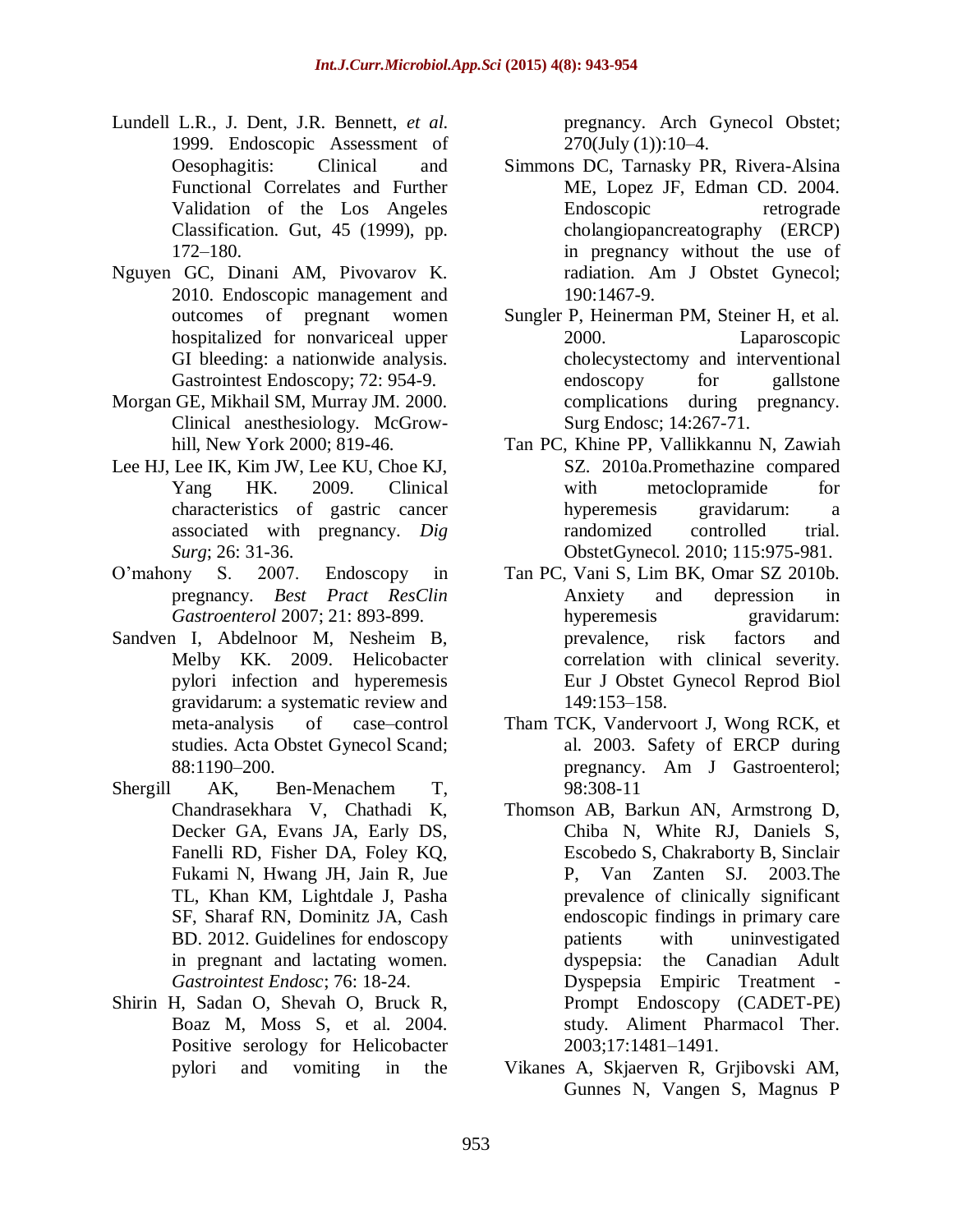- Lundell L.R., J. Dent, J.R. Bennett, *et al.* 1999. Endoscopic Assessment of Oesophagitis: Clinical and Functional Correlates and Further Validation of the Los Angeles Classification. Gut, 45 (1999), pp. 172–180.
- Nguyen GC, Dinani AM, Pivovarov K. 2010. Endoscopic management and outcomes of pregnant women hospitalized for nonvariceal upper GI bleeding: a nationwide analysis. Gastrointest Endoscopy; 72: 954-9.
- Morgan GE, Mikhail SM, Murray JM. 2000. Clinical anesthesiology. McGrowhill, New York 2000; 819-46.
- Lee HJ, Lee IK, Kim JW, Lee KU, Choe KJ, Yang HK. 2009. Clinical characteristics of gastric cancer associated with pregnancy. *Dig Surg*; 26: 31-36.
- O'mahony S. 2007. Endoscopy in pregnancy. *Best Pract ResClin Gastroenterol* 2007; 21: 893-899.
- Sandven I, Abdelnoor M, Nesheim B, Melby KK. 2009. Helicobacter pylori infection and hyperemesis gravidarum: a systematic review and meta-analysis of case–control studies. Acta Obstet Gynecol Scand; 88:1190–200.
- Shergill AK, Ben-Menachem T, Chandrasekhara V, Chathadi K, Decker GA, Evans JA, Early DS, Fanelli RD, Fisher DA, Foley KQ, Fukami N, Hwang JH, Jain R, Jue TL, Khan KM, Lightdale J, Pasha SF, Sharaf RN, Dominitz JA, Cash BD. 2012. Guidelines for endoscopy in pregnant and lactating women. *Gastrointest Endosc*; 76: 18-24.
- Shirin H, Sadan O, Shevah O, Bruck R, Boaz M, Moss S, et al. 2004. Positive serology for Helicobacter pylori and vomiting in the

pregnancy. Arch Gynecol Obstet; 270(July (1)):10–4.

- Simmons DC, Tarnasky PR, Rivera-Alsina ME, Lopez JF, Edman CD. 2004. Endoscopic retrograde cholangiopancreatography (ERCP) in pregnancy without the use of radiation. Am J Obstet Gynecol; 190:1467-9.
- Sungler P, Heinerman PM, Steiner H, et al. 2000. Laparoscopic cholecystectomy and interventional endoscopy for gallstone complications during pregnancy. Surg Endosc; 14:267-71.
- Tan PC, Khine PP, Vallikkannu N, Zawiah SZ. 2010a.Promethazine compared with metoclopramide for hyperemesis gravidarum: a randomized controlled trial. ObstetGynecol. 2010; 115:975-981.
- Tan PC, Vani S, Lim BK, Omar SZ 2010b. Anxiety and depression in hyperemesis gravidarum: prevalence, risk factors and correlation with clinical severity. Eur J Obstet Gynecol Reprod Biol 149:153–158.
- Tham TCK, Vandervoort J, Wong RCK, et al. 2003. Safety of ERCP during pregnancy. Am J Gastroenterol; 98:308-11
- Thomson AB, Barkun AN, Armstrong D, Chiba N, White RJ, Daniels S, Escobedo S, Chakraborty B, Sinclair P, Van Zanten SJ. 2003.The prevalence of clinically significant endoscopic findings in primary care patients with uninvestigated dyspepsia: the Canadian Adult Dyspepsia Empiric Treatment Prompt Endoscopy (CADET-PE) study. Aliment Pharmacol Ther. 2003;17:1481–1491.
- Vikanes A, Skjaerven R, Grjibovski AM, Gunnes N, Vangen S, Magnus P